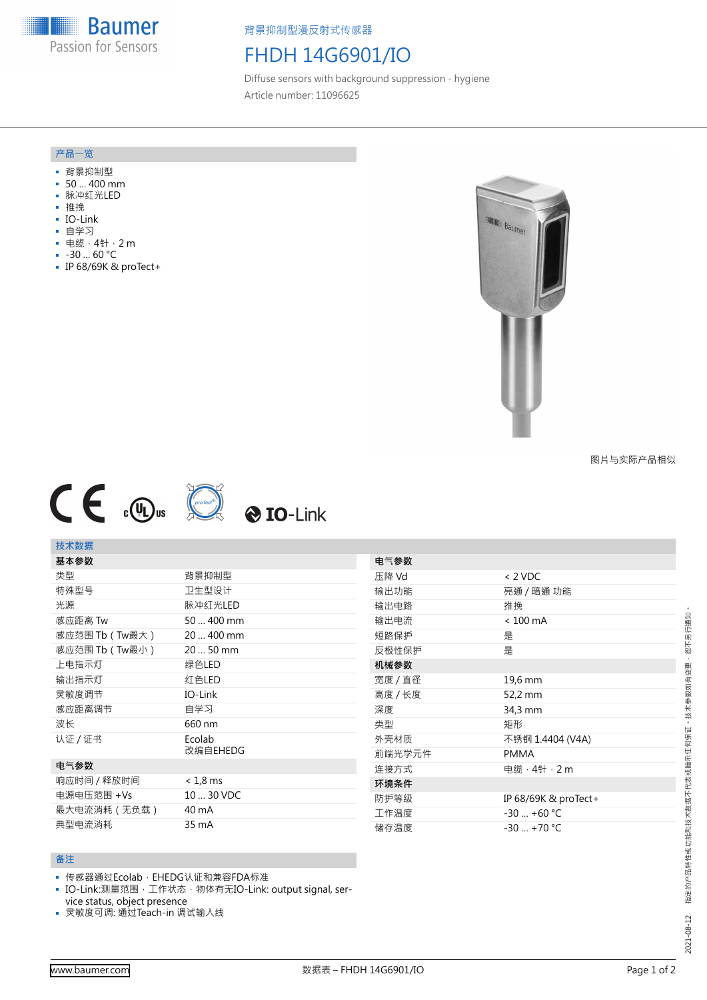**Baumer** Passion for Sensors

背景抑制型漫反射式传感器

# FHDH 14G6901/IO

Diffuse sensors with background suppression - hygiene Article number: 11096625

### **产品**一**览**

- 背景抑制型
- 50 … 400 mm
- 脉冲红光LED
- 推挽
- IO-Link
- 自学习
- 电缆,4针,2 m
- -30 … 60 °C
- IP 68/69K & proTect+



图片与实际产品相似



## **技术数据**

| 基本参数             |                    |
|------------------|--------------------|
| 类型               | 背景抑制型              |
| 特殊型号             | 卫生型设计              |
| 光源               | 脉冲红光LED            |
| 感应距离 Tw          | 50  400 mm         |
| 感应范围 Tb ( Tw最大 ) | 20  400 mm         |
| 感应范围 Tb ( Tw最小 ) | 20  50 mm          |
| 上电指示灯            | 绿色LED              |
| 输出指示灯            | 红色LED              |
| 灵敏度调节            | IO-Link            |
| 感应距离调节           | 自学习                |
| 波长               | 660 nm             |
| 认证/证书            | Ecolab<br>改编自EHEDG |
| 电气参数             |                    |
| 响应时间 / 释放时间      | $< 1.8$ ms         |
| 电源电压范围 +Vs       | 10  30 VDC         |
| 最大电流消耗(无负载)      | 40 mA              |
| 典型电流消耗           | 35 mA              |

| 电气参数    |                      |
|---------|----------------------|
| 压降 Vd   | $< 2$ VDC            |
| 输出功能    | 亮通 / 暗通 功能           |
| 输出电路    | 推挽                   |
| 输出电流    | $< 100$ mA           |
| 短路保护    | 是                    |
| 反极性保护   | 是                    |
| 机械参数    |                      |
| 宽度 / 直径 | 19,6 mm              |
| 高度 / 长度 | 52,2 mm              |
| 深度      | 34,3 mm              |
| 类型      | 矩形                   |
| 外壳材质    | 不锈钢 1.4404 (V4A)     |
| 前端光学元件  | <b>PMMA</b>          |
| 连接方式    | 电缆 · 4针 · 2 m        |
| 环境条件    |                      |
| 防护等级    | IP 68/69K & proTect+ |
| 工作温度    | $-30 - +60$ °C       |
| 储存温度    | $-30 - +70$ °C       |

#### **备注**

- 传感器通过Ecolab, EHEDG认证和兼容FDA标准
- IO-Link:测量范围,工作状态, 物体有无IO-Link: output signal, service status, object presence
- 灵敏度可调: 通过Teach-in 调试输入线